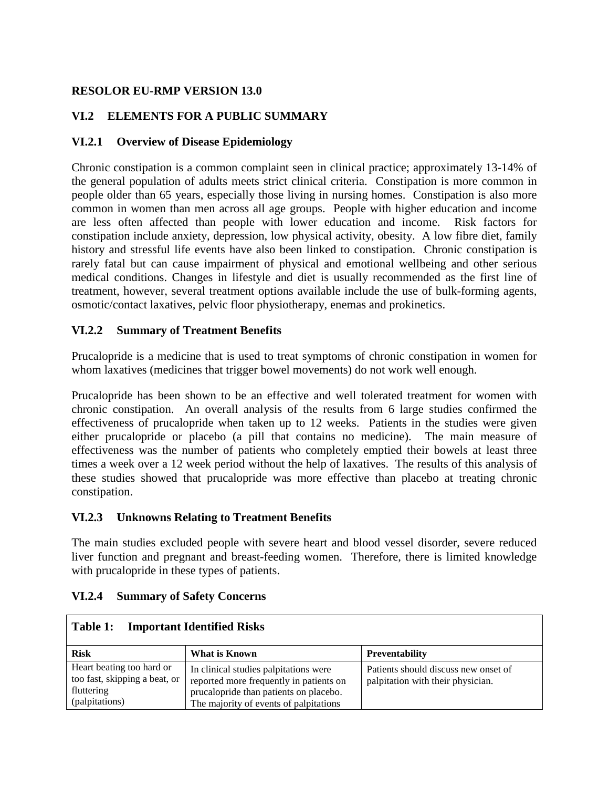## **RESOLOR EU-RMP VERSION 13.0**

## **VI.2 ELEMENTS FOR A PUBLIC SUMMARY**

## **VI.2.1 Overview of Disease Epidemiology**

Chronic constipation is a common complaint seen in clinical practice; approximately 13-14% of the general population of adults meets strict clinical criteria. Constipation is more common in people older than 65 years, especially those living in nursing homes. Constipation is also more common in women than men across all age groups. People with higher education and income are less often affected than people with lower education and income. Risk factors for constipation include anxiety, depression, low physical activity, obesity. A low fibre diet, family history and stressful life events have also been linked to constipation. Chronic constipation is rarely fatal but can cause impairment of physical and emotional wellbeing and other serious medical conditions. Changes in lifestyle and diet is usually recommended as the first line of treatment, however, several treatment options available include the use of bulk-forming agents, osmotic/contact laxatives, pelvic floor physiotherapy, enemas and prokinetics.

### **VI.2.2 Summary of Treatment Benefits**

Prucalopride is a medicine that is used to treat symptoms of chronic constipation in women for whom laxatives (medicines that trigger bowel movements) do not work well enough.

Prucalopride has been shown to be an effective and well tolerated treatment for women with chronic constipation. An overall analysis of the results from 6 large studies confirmed the effectiveness of prucalopride when taken up to 12 weeks. Patients in the studies were given either prucalopride or placebo (a pill that contains no medicine). The main measure of effectiveness was the number of patients who completely emptied their bowels at least three times a week over a 12 week period without the help of laxatives. The results of this analysis of these studies showed that prucalopride was more effective than placebo at treating chronic constipation.

#### **VI.2.3 Unknowns Relating to Treatment Benefits**

The main studies excluded people with severe heart and blood vessel disorder, severe reduced liver function and pregnant and breast-feeding women. Therefore, there is limited knowledge with prucalopride in these types of patients.

| <b>Important Identified Risks</b><br>Table 1:                                              |                                                                                                                                                                      |                                                                           |  |  |  |  |
|--------------------------------------------------------------------------------------------|----------------------------------------------------------------------------------------------------------------------------------------------------------------------|---------------------------------------------------------------------------|--|--|--|--|
| <b>Risk</b>                                                                                | What is Known                                                                                                                                                        | <b>Preventability</b>                                                     |  |  |  |  |
| Heart beating too hard or<br>too fast, skipping a beat, or<br>fluttering<br>(palpitations) | In clinical studies palpitations were<br>reported more frequently in patients on<br>prucalopride than patients on placebo.<br>The majority of events of palpitations | Patients should discuss new onset of<br>palpitation with their physician. |  |  |  |  |

## **VI.2.4 Summary of Safety Concerns**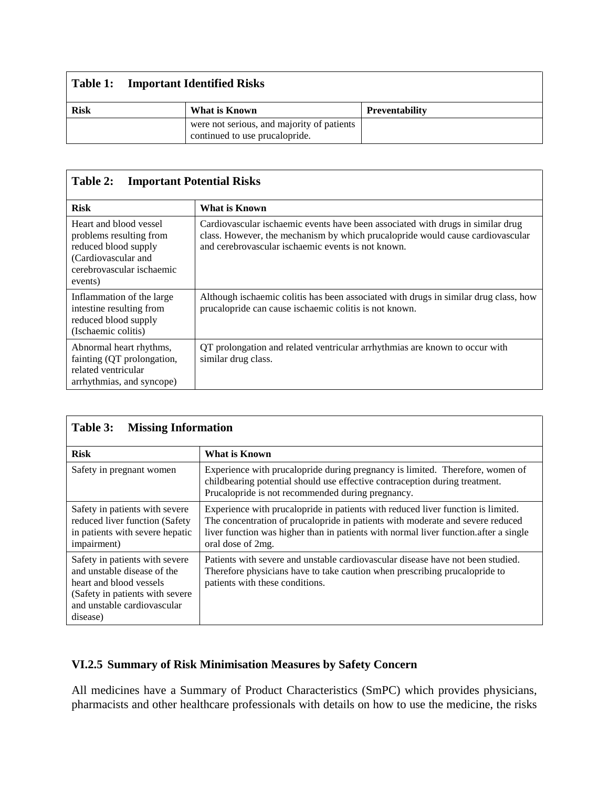|             | <b>Table 1:</b> Important Identified Risks                                   |                       |  |  |  |
|-------------|------------------------------------------------------------------------------|-----------------------|--|--|--|
| <b>Risk</b> | What is Known                                                                | <b>Preventability</b> |  |  |  |
|             | were not serious, and majority of patients<br>continued to use prucalopride. |                       |  |  |  |

# **Table 2: Important Potential Risks**

| <b>Risk</b>                                                                                                                              | <b>What is Known</b>                                                                                                                                                                                                     |
|------------------------------------------------------------------------------------------------------------------------------------------|--------------------------------------------------------------------------------------------------------------------------------------------------------------------------------------------------------------------------|
| Heart and blood vessel<br>problems resulting from<br>reduced blood supply<br>(Cardiovascular and<br>cerebrovascular ischaemic<br>events) | Cardiovascular ischaemic events have been associated with drugs in similar drug<br>class. However, the mechanism by which prucal opride would cause cardiovascular<br>and cerebrovascular ischaemic events is not known. |
| Inflammation of the large<br>intestine resulting from<br>reduced blood supply<br>(Ischaemic colitis)                                     | Although ischaemic colitis has been associated with drugs in similar drug class, how<br>prucalopride can cause ischaemic colitis is not known.                                                                           |
| Abnormal heart rhythms,<br>fainting (QT prolongation,<br>related ventricular<br>arrhythmias, and syncope)                                | QT prolongation and related ventricular arrhythmias are known to occur with<br>similar drug class.                                                                                                                       |

| Table 3:<br><b>Missing Information</b>                                                                                                                                 |                                                                                                                                                                                                                                                                                  |  |  |  |
|------------------------------------------------------------------------------------------------------------------------------------------------------------------------|----------------------------------------------------------------------------------------------------------------------------------------------------------------------------------------------------------------------------------------------------------------------------------|--|--|--|
| <b>Risk</b>                                                                                                                                                            | What is Known                                                                                                                                                                                                                                                                    |  |  |  |
| Safety in pregnant women                                                                                                                                               | Experience with prucal opride during pregnancy is limited. Therefore, women of<br>childbearing potential should use effective contraception during treatment.<br>Prucalopride is not recommended during pregnancy.                                                               |  |  |  |
| Safety in patients with severe<br>reduced liver function (Safety<br>in patients with severe hepatic<br>impairment)                                                     | Experience with prucal option in patients with reduced liver function is limited.<br>The concentration of prucalopride in patients with moderate and severe reduced<br>liver function was higher than in patients with normal liver function after a single<br>oral dose of 2mg. |  |  |  |
| Safety in patients with severe<br>and unstable disease of the<br>heart and blood vessels<br>(Safety in patients with severe<br>and unstable cardiovascular<br>disease) | Patients with severe and unstable cardiovascular disease have not been studied.<br>Therefore physicians have to take caution when prescribing prucalopride to<br>patients with these conditions.                                                                                 |  |  |  |

## **VI.2.5 Summary of Risk Minimisation Measures by Safety Concern**

All medicines have a Summary of Product Characteristics (SmPC) which provides physicians, pharmacists and other healthcare professionals with details on how to use the medicine, the risks